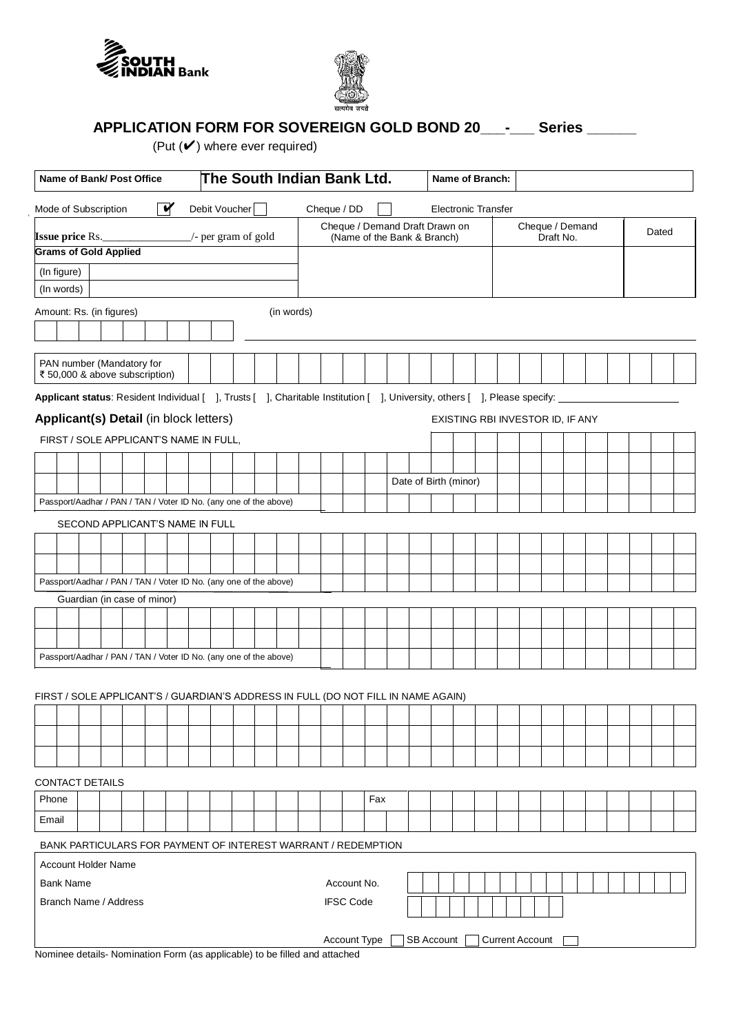



# **APPLICATION FORM FOR SOVEREIGN GOLD BOND 20\_\_\_-\_\_\_ Series \_\_\_\_\_\_**

(Put  $(V)$  where ever required)

| Name of Bank/ Post Office                                                                                                  | The South Indian Bank Ltd. |                                                               | Name of Branch:            |                                  |       |
|----------------------------------------------------------------------------------------------------------------------------|----------------------------|---------------------------------------------------------------|----------------------------|----------------------------------|-------|
| И<br>Mode of Subscription                                                                                                  | Debit Voucher              | Cheque / DD                                                   | <b>Electronic Transfer</b> |                                  |       |
| <b>Issue price Rs._</b>                                                                                                    | /- per gram of gold        | Cheque / Demand Draft Drawn on<br>(Name of the Bank & Branch) |                            | Cheque / Demand<br>Draft No.     | Dated |
| <b>Grams of Gold Applied</b>                                                                                               |                            |                                                               |                            |                                  |       |
| (In figure)                                                                                                                |                            |                                                               |                            |                                  |       |
| (In words)                                                                                                                 |                            |                                                               |                            |                                  |       |
| Amount: Rs. (in figures)                                                                                                   | (in words)                 |                                                               |                            |                                  |       |
|                                                                                                                            |                            |                                                               |                            |                                  |       |
|                                                                                                                            |                            |                                                               |                            |                                  |       |
| PAN number (Mandatory for<br>₹ 50,000 & above subscription)                                                                |                            |                                                               |                            |                                  |       |
| Applicant status: Resident Individual [ ], Trusts [ ], Charitable Institution [ ], University, others [ ], Please specify: |                            |                                                               |                            |                                  |       |
| Applicant(s) Detail (in block letters)                                                                                     |                            |                                                               |                            | EXISTING RBI INVESTOR ID, IF ANY |       |
| FIRST / SOLE APPLICANT'S NAME IN FULL,                                                                                     |                            |                                                               |                            |                                  |       |
|                                                                                                                            |                            |                                                               |                            |                                  |       |
|                                                                                                                            |                            |                                                               | Date of Birth (minor)      |                                  |       |
| Passport/Aadhar / PAN / TAN / Voter ID No. (any one of the above)                                                          |                            |                                                               |                            |                                  |       |
| SECOND APPLICANT'S NAME IN FULL                                                                                            |                            |                                                               |                            |                                  |       |
|                                                                                                                            |                            |                                                               |                            |                                  |       |
|                                                                                                                            |                            |                                                               |                            |                                  |       |
| Passport/Aadhar / PAN / TAN / Voter ID No. (any one of the above)                                                          |                            |                                                               |                            |                                  |       |
| Guardian (in case of minor)                                                                                                |                            |                                                               |                            |                                  |       |
|                                                                                                                            |                            |                                                               |                            |                                  |       |
|                                                                                                                            |                            |                                                               |                            |                                  |       |
| Passport/Aadhar / PAN / TAN / Voter ID No. (any one of the above)                                                          |                            |                                                               |                            |                                  |       |
|                                                                                                                            |                            |                                                               |                            |                                  |       |
| FIRST / SOLE APPLICANT'S / GUARDIAN'S ADDRESS IN FULL (DO NOT FILL IN NAME AGAIN)                                          |                            |                                                               |                            |                                  |       |
|                                                                                                                            |                            |                                                               |                            |                                  |       |
|                                                                                                                            |                            |                                                               |                            |                                  |       |
|                                                                                                                            |                            |                                                               |                            |                                  |       |
| <b>CONTACT DETAILS</b>                                                                                                     |                            |                                                               |                            |                                  |       |
| Phone                                                                                                                      |                            | Fax                                                           |                            |                                  |       |
| Email                                                                                                                      |                            |                                                               |                            |                                  |       |
| BANK PARTICULARS FOR PAYMENT OF INTEREST WARRANT / REDEMPTION                                                              |                            |                                                               |                            |                                  |       |
| <b>Account Holder Name</b>                                                                                                 |                            |                                                               |                            |                                  |       |
| <b>Bank Name</b>                                                                                                           |                            | Account No.                                                   |                            |                                  |       |
| Branch Name / Address                                                                                                      |                            | <b>IFSC Code</b>                                              |                            |                                  |       |
|                                                                                                                            |                            |                                                               |                            |                                  |       |

Nominee details- Nomination Form (as applicable) to be filled and attached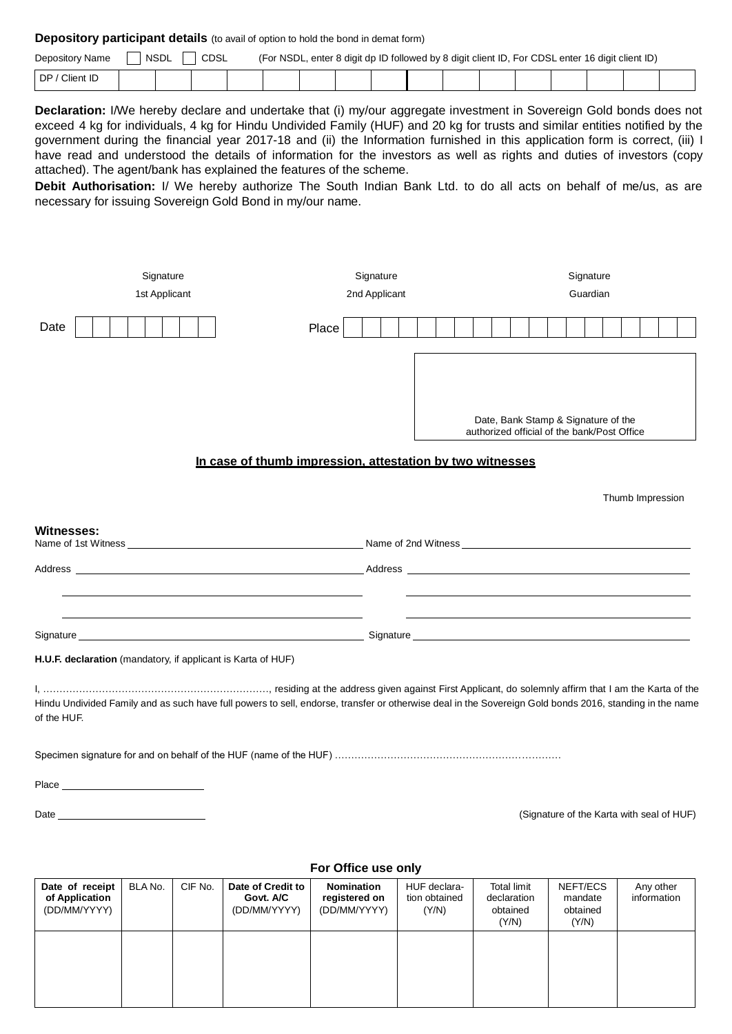#### **Depository participant details** (to avail of option to hold the bond in demat form)

| Depository Name    | <b>NSDL</b> | <b>CDSL</b> |  | (For NSDL, enter 8 digit dp ID followed by 8 digit client ID, For CDSL enter 16 digit client ID) |  |  |  |  |  |
|--------------------|-------------|-------------|--|--------------------------------------------------------------------------------------------------|--|--|--|--|--|
| / Client ID<br>DP. |             |             |  |                                                                                                  |  |  |  |  |  |

**Declaration:** I/We hereby declare and undertake that (i) my/our aggregate investment in Sovereign Gold bonds does not exceed 4 kg for individuals, 4 kg for Hindu Undivided Family (HUF) and 20 kg for trusts and similar entities notified by the government during the financial year 2017-18 and (ii) the Information furnished in this application form is correct, (iii) I have read and understood the details of information for the investors as well as rights and duties of investors (copy attached). The agent/bank has explained the features of the scheme.

**Debit Authorisation:** I/ We hereby authorize The South Indian Bank Ltd. to do all acts on behalf of me/us, as are necessary for issuing Sovereign Gold Bond in my/our name.

| Signature                                                                                                                                                                                                                      | Signature                                                 | Signature                                                                          |
|--------------------------------------------------------------------------------------------------------------------------------------------------------------------------------------------------------------------------------|-----------------------------------------------------------|------------------------------------------------------------------------------------|
| 1st Applicant                                                                                                                                                                                                                  | 2nd Applicant                                             | Guardian                                                                           |
| Date                                                                                                                                                                                                                           | Place                                                     |                                                                                    |
|                                                                                                                                                                                                                                |                                                           | Date, Bank Stamp & Signature of the<br>authorized official of the bank/Post Office |
|                                                                                                                                                                                                                                | In case of thumb impression, attestation by two witnesses |                                                                                    |
|                                                                                                                                                                                                                                |                                                           | Thumb Impression                                                                   |
| <b>Witnesses:</b>                                                                                                                                                                                                              |                                                           |                                                                                    |
| Address and the contract of the contract of the contract of the contract of the contract of the contract of the contract of the contract of the contract of the contract of the contract of the contract of the contract of th |                                                           |                                                                                    |
|                                                                                                                                                                                                                                |                                                           |                                                                                    |
|                                                                                                                                                                                                                                |                                                           |                                                                                    |
| H.U.F. declaration (mandatory, if applicant is Karta of HUF)                                                                                                                                                                   |                                                           |                                                                                    |
| Hindu Undivided Family and as such have full powers to sell, endorse, transfer or otherwise deal in the Sovereign Gold bonds 2016, standing in the name<br>of the HUF.                                                         |                                                           |                                                                                    |
|                                                                                                                                                                                                                                |                                                           |                                                                                    |
| Place                                                                                                                                                                                                                          |                                                           |                                                                                    |

Date (Signature of the Karta with seal of HUF)

| Date of receipt<br>of Application<br>(DD/MM/YYYY) | BLA No. | CIF No. | Date of Credit to<br>Govt. A/C<br>(DD/MM/YYYY) | <b>Nomination</b><br>registered on<br>(DD/MM/YYYY) | HUF declara-<br>tion obtained<br>(Y/N) | <b>Total limit</b><br>declaration<br>obtained<br>(Y/N) | NEFT/ECS<br>mandate<br>obtained<br>(Y/N) | Any other<br>information |
|---------------------------------------------------|---------|---------|------------------------------------------------|----------------------------------------------------|----------------------------------------|--------------------------------------------------------|------------------------------------------|--------------------------|
|                                                   |         |         |                                                |                                                    |                                        |                                                        |                                          |                          |

#### **For Office use only**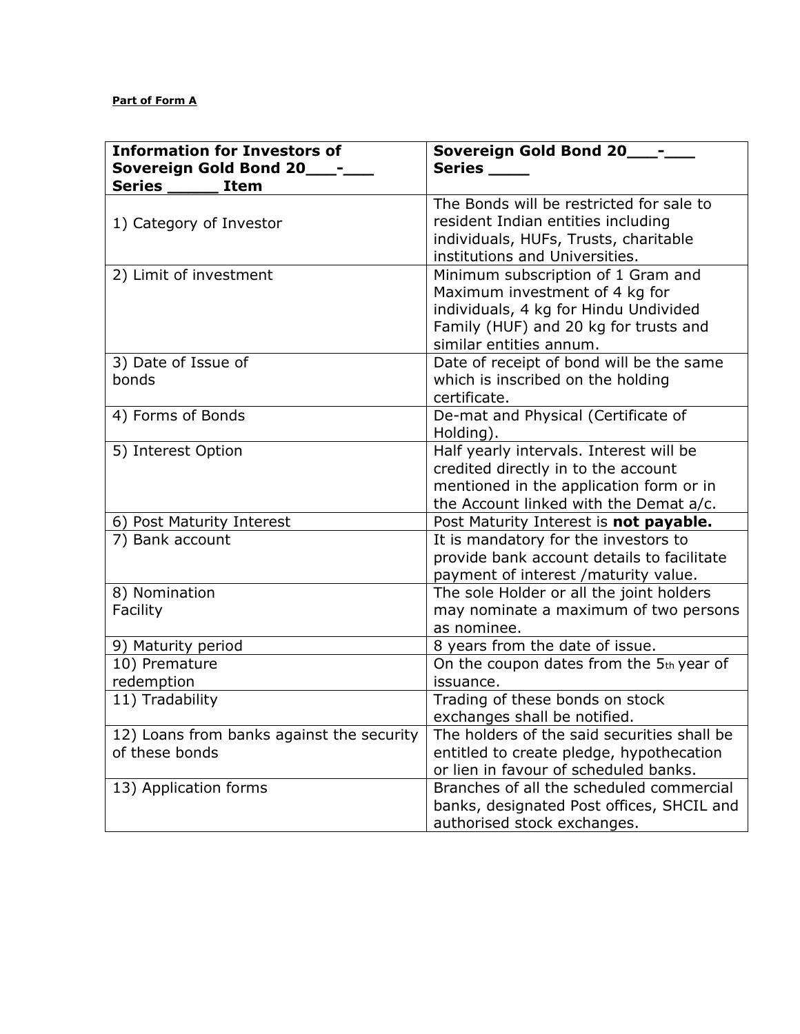#### **Part of Form A**

| <b>Information for Investors of</b>       | Sovereign Gold Bond 20____-_                                                      |
|-------------------------------------------|-----------------------------------------------------------------------------------|
| Sovereign Gold Bond 20___-_               | <b>Series</b>                                                                     |
| Series<br><b>Item</b>                     | The Bonds will be restricted for sale to                                          |
|                                           | resident Indian entities including                                                |
| 1) Category of Investor                   | individuals, HUFs, Trusts, charitable                                             |
|                                           | institutions and Universities.                                                    |
| 2) Limit of investment                    | Minimum subscription of 1 Gram and                                                |
|                                           | Maximum investment of 4 kg for                                                    |
|                                           | individuals, 4 kg for Hindu Undivided                                             |
|                                           | Family (HUF) and 20 kg for trusts and                                             |
|                                           | similar entities annum.                                                           |
| 3) Date of Issue of                       | Date of receipt of bond will be the same                                          |
| bonds                                     | which is inscribed on the holding                                                 |
|                                           | certificate.                                                                      |
| 4) Forms of Bonds                         | De-mat and Physical (Certificate of                                               |
|                                           | Holding).                                                                         |
| 5) Interest Option                        | Half yearly intervals. Interest will be                                           |
|                                           | credited directly in to the account                                               |
|                                           | mentioned in the application form or in                                           |
|                                           | the Account linked with the Demat a/c.                                            |
| 6) Post Maturity Interest                 | Post Maturity Interest is not payable.                                            |
| 7) Bank account                           | It is mandatory for the investors to                                              |
|                                           | provide bank account details to facilitate                                        |
|                                           | payment of interest / maturity value.                                             |
| 8) Nomination                             | The sole Holder or all the joint holders                                          |
| Facility                                  | may nominate a maximum of two persons                                             |
|                                           | as nominee.                                                                       |
| 9) Maturity period                        | 8 years from the date of issue.                                                   |
| 10) Premature                             | On the coupon dates from the 5th year of                                          |
| redemption                                | issuance.                                                                         |
| 11) Tradability                           | Trading of these bonds on stock                                                   |
|                                           | exchanges shall be notified.                                                      |
| 12) Loans from banks against the security | The holders of the said securities shall be                                       |
| of these bonds                            | entitled to create pledge, hypothecation<br>or lien in favour of scheduled banks. |
|                                           | Branches of all the scheduled commercial                                          |
| 13) Application forms                     |                                                                                   |
|                                           | banks, designated Post offices, SHCIL and                                         |
|                                           | authorised stock exchanges.                                                       |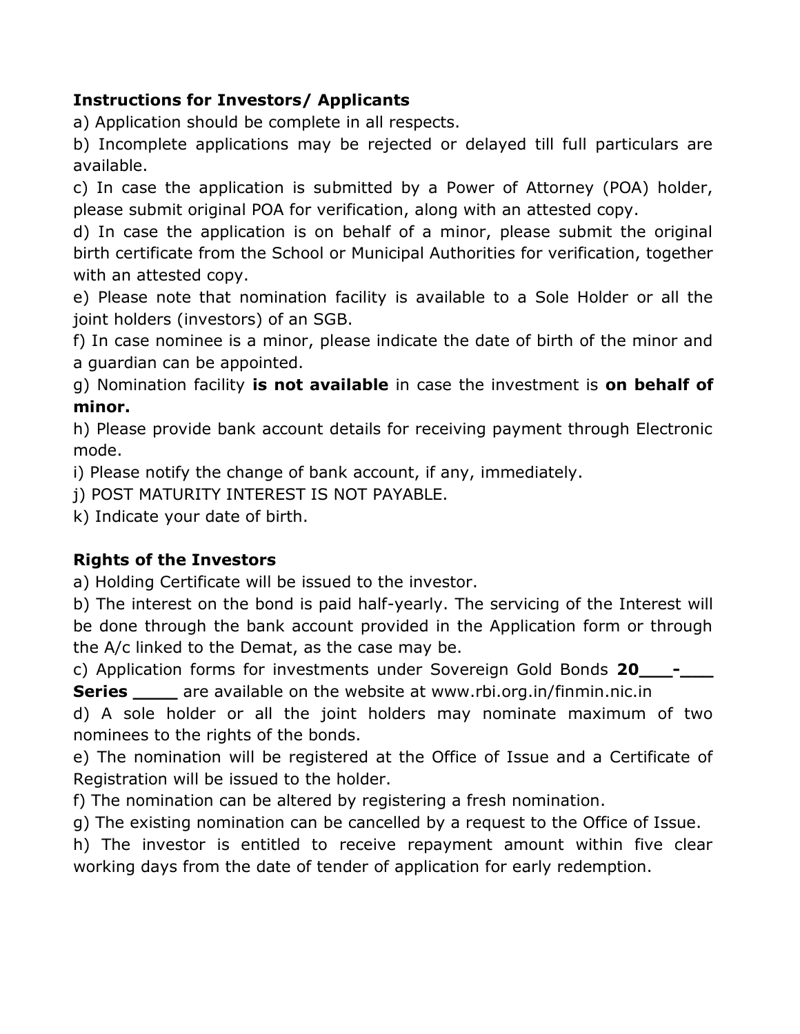# **Instructions for Investors/ Applicants**

a) Application should be complete in all respects.

b) Incomplete applications may be rejected or delayed till full particulars are available.

c) In case the application is submitted by a Power of Attorney (POA) holder, please submit original POA for verification, along with an attested copy.

d) In case the application is on behalf of a minor, please submit the original birth certificate from the School or Municipal Authorities for verification, together with an attested copy.

e) Please note that nomination facility is available to a Sole Holder or all the joint holders (investors) of an SGB.

f) In case nominee is a minor, please indicate the date of birth of the minor and a guardian can be appointed.

g) Nomination facility **is not available** in case the investment is **on behalf of minor.** 

h) Please provide bank account details for receiving payment through Electronic mode.

i) Please notify the change of bank account, if any, immediately.

j) POST MATURITY INTEREST IS NOT PAYABLE.

k) Indicate your date of birth.

# **Rights of the Investors**

a) Holding Certificate will be issued to the investor.

b) The interest on the bond is paid half-yearly. The servicing of the Interest will be done through the bank account provided in the Application form or through the A/c linked to the Demat, as the case may be.

c) Application forms for investments under Sovereign Gold Bonds 20 -

**Series** are available on the website at www.rbi.org.in/finmin.nic.in

d) A sole holder or all the joint holders may nominate maximum of two nominees to the rights of the bonds.

e) The nomination will be registered at the Office of Issue and a Certificate of Registration will be issued to the holder.

f) The nomination can be altered by registering a fresh nomination.

g) The existing nomination can be cancelled by a request to the Office of Issue.

h) The investor is entitled to receive repayment amount within five clear working days from the date of tender of application for early redemption.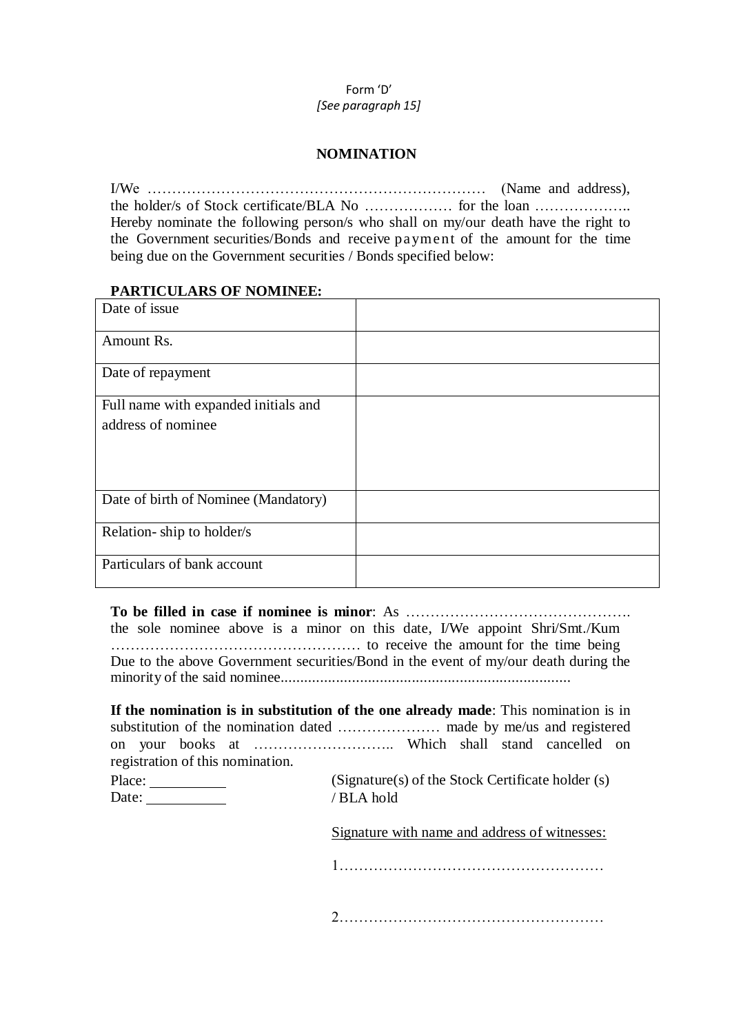## Form 'D' *[See paragraph 15]*

# **NOMINATION**

I/We …………………………………………………………… (Name and address), the holder/s of Stock certificate/BLA No ……………… for the loan ……………….. Hereby nominate the following person/s who shall on my/our death have the right to the Government securities/Bonds and receive payment of the amount for the time being due on the Government securities / Bonds specified below:

### **PARTICULARS OF NOMINEE:**

| Date of issue                        |  |
|--------------------------------------|--|
| Amount Rs.                           |  |
| Date of repayment                    |  |
| Full name with expanded initials and |  |
| address of nominee                   |  |
|                                      |  |
|                                      |  |
|                                      |  |
| Date of birth of Nominee (Mandatory) |  |
| Relation-ship to holder/s            |  |
| Particulars of bank account          |  |

**To be filled in case if nominee is minor**: As ………………………………………. the sole nominee above is a minor on this date, I/We appoint Shri/Smt./Kum …………………………………………… to receive the amount for the time being Due to the above Government securities/Bond in the event of my/our death during the minority of the said nominee.........................................................................

| If the nomination is in substitution of the one already made: This nomination is in |  |  |  |  |            |  |
|-------------------------------------------------------------------------------------|--|--|--|--|------------|--|
|                                                                                     |  |  |  |  |            |  |
|                                                                                     |  |  |  |  |            |  |
| registration of this nomination.                                                    |  |  |  |  |            |  |
|                                                                                     |  |  |  |  | $\sqrt{2}$ |  |

| Place: | $(Signature(s)$ of the Stock Certificate holder $(s)$ |
|--------|-------------------------------------------------------|
| Date:  | / BLA hold                                            |
|        |                                                       |

Signature with name and address of witnesses:

1………………………………………………

2………………………………………………